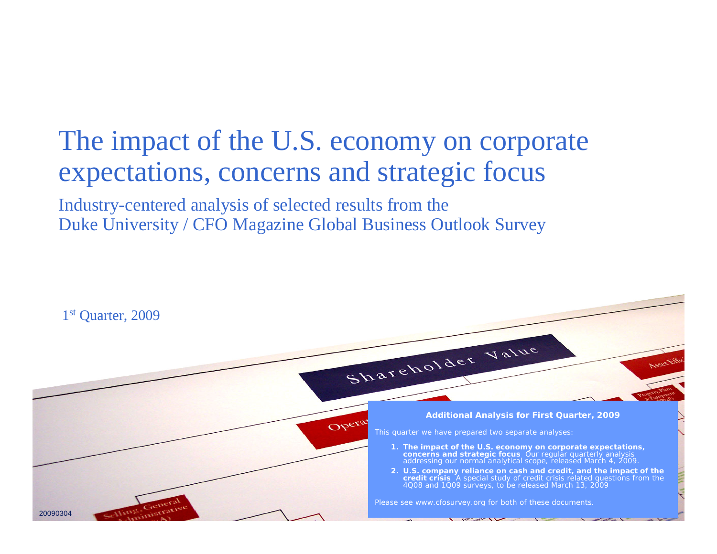### The impact of the U.S. economy on corporate expectations, concerns and strategic focus

Industry-centered analysis of selected results from the Duke University / CFO Magazine Global Business Outlook Survey

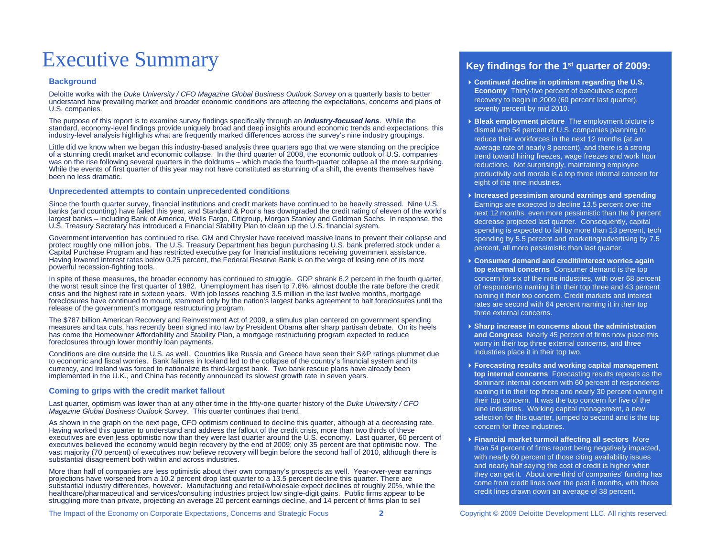### Executive Summary

#### **Background**

Deloitte works with the *Duke University / CFO Magazine Global Business Outlook Survey* on a quarterly basis to better understand how prevailing market and broader economic conditions are affecting the expectations, concerns and plans of U.S. companies.

The purpose of this report is to examine survey findings specifically through an *industry-focused lens*. While the standard, economy-level findings provide uniquely broad and deep insights around economic trends and expectations, this industry-level analysis highlights what are frequently marked differences across the survey's nine industry groupings.

Little did we know when we began this industry-based analysis three quarters ago that we were standing on the precipice of a stunning credit market and economic collapse. In the third quarter of 2008, the economic outlook of U.S. companies was on the rise following several quarters in the doldrums – which made the fourth-quarter collapse all the more surprising. While the events of first quarter of this year may not have constituted as stunning of a shift, the events themselves have been no less dramatic.

#### **Unprecedented attempts to contain unprecedented conditions**

Since the fourth quarter survey, financial institutions and credit markets have continued to be heavily stressed. Nine U.S. banks (and counting) have failed this year, and Standard & Poor's has downgraded the credit rating of eleven of the world's largest banks – including Bank of America, Wells Fargo, Citigroup, Morgan Stanley and Goldman Sachs. In response, the U.S. Treasury Secretary has introduced a Financial Stability Plan to clean up the U.S. financial system.

Government intervention has continued to rise. GM and Chrysler have received massive loans to prevent their collapse and protect roughly one million jobs. The U.S. Treasury Department has begun purchasing U.S. bank preferred stock under a Capital Purchase Program and has restricted executive pay for financial institutions receiving government assistance. Having lowered interest rates below 0.25 percent, the Federal Reserve Bank is on the verge of losing one of its most powerful recession-fighting tools.

In spite of these measures, the broader economy has continued to struggle. GDP shrank 6.2 percent in the fourth quarter, the worst result since the first quarter of 1982. Unemployment has risen to 7.6%, almost double the rate before the credit crisis and the highest rate in sixteen years. With job losses reaching 3.5 million in the last twelve months, mortgage foreclosures have continued to mount, stemmed only by the nation's largest banks agreement to halt foreclosures until the release of the government's mortgage restructuring program.

The \$787 billion American Recovery and Reinvestment Act of 2009, a stimulus plan centered on government spending measures and tax cuts, has recently been signed into law by President Obama after sharp partisan debate. On its heels has come the Homeowner Affordability and Stability Plan, a mortgage restructuring program expected to reduce foreclosures through lower monthly loan payments.

Conditions are dire outside the U.S. as well. Countries like Russia and Greece have seen their S&P ratings plummet due to economic and fiscal worries. Bank failures in Iceland led to the collapse of the country's financial system and its currency, and Ireland was forced to nationalize its third-largest bank. Two bank rescue plans have already been implemented in the U.K., and China has recently announced its slowest growth rate in seven years.

#### **Coming to grips with the credit market fallout**

Last quarter, optimism was lower than at any other time in the fifty-one quarter history of the *Duke University / CFO Magazine Global Business Outlook Survey*. This quarter continues that trend.

As shown in the graph on the next page, CFO optimism continued to decline this quarter, although at a decreasing rate. Having worked this quarter to understand and address the fallout of the credit crisis, more than two thirds of these executives are even less optimistic now than they were last quarter around the U.S. economy. Last quarter, 60 percent of executives believed the economy would begin recovery by the end of 2009; only 35 percent are that optimistic now. The vast majority (70 percent) of executives now believe recovery will begin before the second half of 2010, although there is substantial disagreement both within and across industries.

More than half of companies are less optimistic about their own company's prospects as well. Year-over-year earnings projections have worsened from a 10.2 percent drop last quarter to a 13.5 percent decline this quarter. There are substantial industry differences, however. Manufacturing and retail/wholesale expect declines of roughly 20%, while the healthcare/pharmaceutical and services/consulting industries project low single-digit gains. Public firms appear to be struggling more than private, projecting an average 20 percent earnings decline, and 14 percent of firms plan to sell

The Impact of the Economy on Corporate Expectations, Concerns and Strategic Focus **2** Copyright © 2009 Deloitte Development LLC. All rights reserved.

#### **Key findings for the 1st quarter of 2009:**

- **Continued decline in optimism regarding the U.S. Economy** Thirty-five percent of executives expect recovery to begin in 2009 (60 percent last quarter), seventy percent by mid 2010.
- **Bleak employment picture** The employment picture is dismal with 54 percent of U.S. companies planning to reduce their workforces in the next 12 months (at an average rate of nearly 8 percent), and there is a strong trend toward hiring freezes, wage freezes and work hour reductions. Not surprisingly, maintaining employee productivity and morale is a top three internal concern for eight of the nine industries.
- **Increased pessimism around earnings and spending**  Earnings are expected to decline 13.5 percent over the next 12 months, even more pessimistic than the 9 percent decrease projected last quarter. Consequently, capital spending is expected to fall by more than 13 percent, tech spending by 5.5 percent and marketing/advertising by 7.5 percent, all more pessimistic than last quarter.
- **Consumer demand and credit/interest worries again top external concerns** Consumer demand is the top concern for six of the nine industries, with over 68 percent of respondents naming it in their top three and 43 percent naming it their top concern. Credit markets and interest rates are second with 64 percent naming it in their top three external concerns.
- **Sharp increase in concerns about the administration and Congress** Nearly 45 percent of firms now place this worry in their top three external concerns, and three industries place it in their top two.
- **Forecasting results and working capital management top internal concerns** Forecasting results repeats as the dominant internal concern with 60 percent of respondents naming it in their top three and nearly 30 percent naming it their top concern. It was the top concern for five of the nine industries. Working capital management, a new selection for this quarter, jumped to second and is the top concern for three industries.
- **Financial market turmoil affecting all sectors** More than 54 percent of firms report being negatively impacted, with nearly 60 percent of those citing availability issues and nearly half saying the cost of credit is higher when they can get it. About one-third of companies' funding has come from credit lines over the past 6 months, with these credit lines drawn down an average of 38 percent.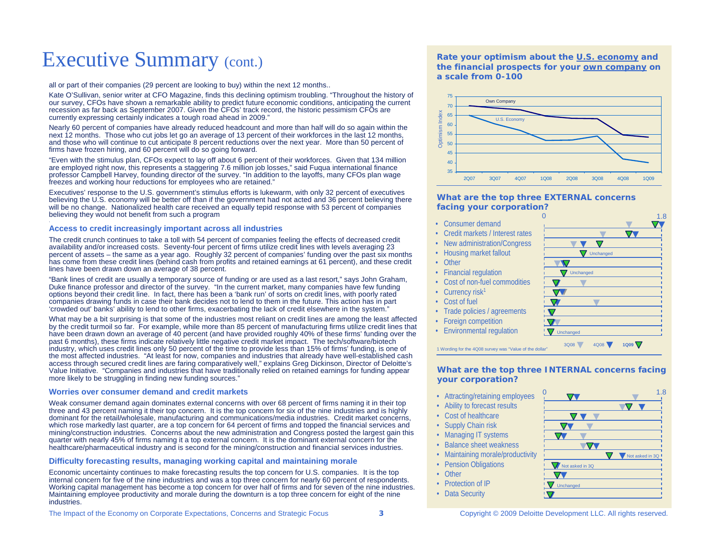### Executive Summary (cont.)

all or part of their companies (29 percent are looking to buy) within the next 12 months..

Kate O'Sullivan, senior writer at CFO Magazine, finds this declining optimis m troubling. "Throughout the history of our survey, CFOs have shown a remarkable ability to predict future economic conditions, anticipating the current recession as far back as September 2007. Given the CFOs' track record, the historic pessimism CFOs are currently expressing certainly indicates a tough road ahead in 2009."

Nearly 60 percent of co mpanies have already reduced headcount and more than half will do so again within the next 12 months. Those who cut jobs let go an average of 13 percent of their workforces in the last 12 months, and those who will continue to cut anticipate 8 percent reductions over the next year. More than 50 percent of firms have frozen hiring, and 60 percent will do so going forward.

"Even with the stimulus plan, CFOs expect to lay off about 6 percent of their workforces. Given that 134 million are employed right now, this represents a staggering 7.6 million job losses," said Fuqua international finance professor Ca mpbell Harvey, founding director of the survey. "In addition to the layoffs, many CFOs plan wage freezes and working hour reductions for e mployees who are retained."

Executives' response to the U.S. government's stimulus efforts is lukewarm, with only 32 percent of executives believing the U.S. economy will be better off than if the government had not acted and 36 percent believing there will be no change. Nationalized health care received an equally tepid response with 53 percent of co mpanies believing they would not benefit from such a progra m

#### **Access to cre dit increasingly imp ortant across all industries**

The credit crunch continues to take a toll with 54 percent of companies feeling the effects of decreased credit availability and/or increased costs. Seventy-four percent of firms utilize credit lines with levels averaging 23 percent of assets – the same as a year ago. Roughly 32 percent of companies' funding over the past six months has co me from these credit lines (behind cash from profits and retained earnings at 61 percent), and these credit lines have been drawn down an average of 38 percent.

"Bank lines of credit are usually a temporary source of funding or are used as a last resort," says John Graham, Duke finance professor and director of the survey. "In the current market, many companies have few funding options beyond their credit line. In fact, there has been a 'bank run' of sorts on credit lines, with poorly rated companies drawing funds in case their bank decides not to lend to the m in the future. This action has in part 'crowded out' banks' ability to lend to other firms, exacerbating the lack of credit elsewhere in the system."

What may be a bit surprising is that some of the industries most reliant on credit lines are among the least affected by the credit turmoil so far. For example, while more than 85 percent of manufacturing firms utilize credit lines that have been drawn down an average of 40 percent (and have provided roughly 40% of these firms' funding over the past 6 months), these firms indicate relatively little negative credit market impact. The tech/software/biotech industry, which uses credit lines only 50 percent of the time to provide less than 15% of firms' funding, is one of the most affected industries. "At least for now, companies and industries that already have well-established cash access through secured credit lines are faring co mparatively well," explains Greg Dickinson, Director of Deloitte's Value Initiative. " Companies and industries that have traditionally relied on retained earnings for funding appear more likely to be struggling in finding ne w funding sources."

#### **Worries over consumer demand and credit markets**

Weak consumer demand again dominates external concerns with over 68 percent of firms naming it in their top three and 43 percent naming it their top concern. It is the top concern for six of the nine industries and is highly dominant for the retail/wholesale, manufacturing and co mmunications/media industries. Credit market concerns, which rose markedly last quarter, are a top concern for 64 percent of firms and topped the financial services and mining/construction industries. Concerns about the new administration and Congress posted the largest gain this quarter with nearly 45% of firms naming it a top external concern. It is the dominant external concern for the healthcare/pharmaceutical industry and is second for the mining/construction and financial services industries.

#### **Difficulty forecastin g results, managing w orkin g capital an d maintaining morale**

Economic uncertainty continues to make forecasting results the top concern for U.S. companies. It is the top internal concern for five of the nine industries and was a top three concern for nearly 60 percent of respondents. Working capital management has become a top concern for over half of firms and for seven of the nine industries. Maintaining employee productivity and morale during the downturn is a top three concern for eight of the nine industries.

The Impact of the Economy on Corporate Expectations, Concerns and Strategic Focus **3** Copyright © 2009 Deloitte Development LLC. All rights reserved.

**Rate your optimism about the U.S. economy and the financial prospects for your own co mpany on a scale from 0-100**



#### **What are the top three EXTERNAL concerns facing your corporation?**

- Consumer demand
- •Credit markets / Interest rates
- New administration/Congress
- Housing market fallout
- Other
- Financial regulation
- Cost of non-fuel commodities
- •Currency risk<sup>1</sup>
- Cost of fuel
- Trade policies / agreements
- Foreign competition
- Environmental regulation



#### **What are the top three INTERNAL concerns facing your corporation?**

3Q

 $\triangledown$ 

**V** Unchanged

 $\blacktriangledown$ 

 $\overline{\mathbf{v}}$ 

 $\nabla$  $\overline{\nabla}$ 

3Q08

- Attracting/retaining employees
- Ability to forecast results
- Cost of healthcare
- Supply Chain risk
- Managing IT systems
- Balance sheet weakness
- Maintaining morale/productivity
- Pension Obligations
- **Other**
- Protection of IP
- Data Security



4Q08 **1Q09** 

/ Unchanged

 $\overline{\mathbf{v}}$   $\overline{\mathbf{v}}$   $\overline{\mathbf{v}}$ 

 $\overline{\phantom{a}}$ 

 $\nabla$ 

/ Unchanged

 $\overline{\phantom{a}}$ 

1.8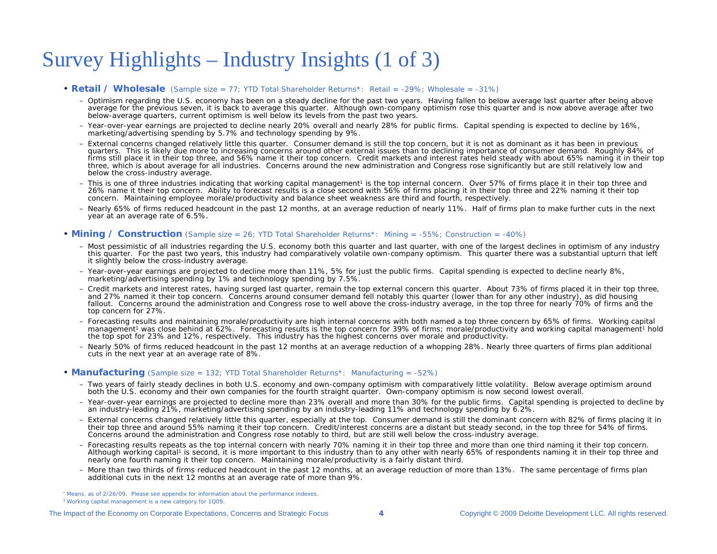### Survey Highlights – Industry Insights (1 of 3)

#### • **Retail / Wholesale** (Sample size = 77; YTD Total Shareholder Returns\*: Retail = -29%; Wholesale = -31%)

- Optimism regarding the U.S. economy has been on a steady decline for the past two years. Having fallen to below average last quarter after being above average for the previous seven, it is back to average this quarter. Although own-company optimism rose this quarter and is now above average after two below-average quarters, current optimism is well below its levels from the past two years.
- Year-over-year earnings are projected to decline nearly 20% overall and nearly 28% for public firms. Capital spending is expected to decline by 16%, marketing/advertising spending by 5.7% and technology spending by 9%.
- External concerns changed relatively little this quarter. Consumer demand is still the top concern, but it is not as dominant as it has been in previous quarters. This is likely due more to increasing concerns around other external issues than to declining importance of consumer demand. Roughly 84% of firms still place it in their top three, and 56% name it their top concern. Credit markets and interest rates held steady with about 65% naming it in their top three, which is about average for all industries. Concerns around the new administration and Congress rose significantly but are still relatively low and below the cross-industry average.
- This is one of three industries indicating that working capital management<sup>1</sup> is the top internal concern. Over 57% of firms place it in their top three and 26% name it their top concern. Ability to forecast results is a close second with 56% of firms placing it in their top three and 22% naming it their top concern. Maintaining employee morale/productivity and balance sheet weakness are third and fourth, respectively.
- Nearly 65% of firms reduced headcount in the past 12 months, at an average reduction of nearly 11%. Half of firms plan to make further cuts in the next year at an average rate of 6.5%.

#### • **Mining / Construction** (Sample size = 26; YTD Total Shareholder Returns\*: Mining = -55%; Construction = -40%)

- Most pessimistic of all industries regarding the U.S. economy both this quarter and last quarter, with one of the largest declines in optimism of any industry this quarter. For the past two years, this industry had comparatively volatile own-company optimism. This quarter there was a substantial upturn that left it slightly below the cross-industry average.
- Year-over-year earnings are projected to decline more than 11%, 5% for just the public firms. Capital spending is expected to decline nearly 8%, marketing/advertising spending by 1% and technology spending by 7.5%.
- Credit markets and interest rates, having surged last quarter, remain the top external concern this quarter. About 73% of firms placed it in their top three, and 27% named it their top concern. Concerns around consumer demand fell notably this quarter (lower than for any other industry), as did housing fallout. Concerns around the administration and Congress rose to well above the cross-industry average, in the top three for nearly 70% of firms and the top concern for 27%.
- Forecasting results and maintaining morale/productivity are high internal concerns with both named a top three concern by 65% of firms. Working capital management<sup>1</sup> was close behind at 62%. Forecasting results is the top concern for 39% of firms; morale/productivity and working capital management<sup>1</sup> hold the top spot for 23% and 12%, respectively. This industry has the highest concerns over morale and productivity.
- Nearly 50% of firms reduced headcount in the past 12 months at an average reduction of a whopping 28%. Nearly three quarters of firms plan additional cuts in the next year at an average rate of 8%.

#### • **Manufacturing** (Sample size = 132; YTD Total Shareholder Returns\*: Manufacturing = -52%)

- Two years of fairly steady declines in both U.S. economy and own-company optimism with comparatively little volatility. Below average optimism around both the U.S. economy and their own companies for the fourth straight quarter. Own-company optimism is now second lowest overall.
- Year-over-year earnings are projected to decline more than 23% overall and more than 30% for the public firms. Capital spending is projected to decline by an industry-leading 21%, marketing/advertising spending by an industry-leading 11% and technology spending by 6.2%.
- External concerns changed relatively little this quarter, especially at the top. Consumer demand is still the dominant concern with 82% of firms placing it in their top three and around 55% naming it their top concern. Credit/interest concerns are a distant but steady second, in the top three for 54% of firms. Concerns around the administration and Congress rose notably to third, but are still well below the cross-industry average.
- Forecasting results repeats as the top internal concern with nearly 70% naming it in their top three and more than one third naming it their top concern. Although working capital<sup>1</sup> is second, it is more important to this industry than to any other with nearly 65% of respondents naming it in their top three and nearly one fourth naming it their top concern. Maintaining morale/productivity is a fairly distant third.
- More than two thirds of firms reduced headcount in the past 12 months, at an average reduction of more than 13%. The same percentage of firms plan additional cuts in the next 12 months at an average rate of more than 9%.

\* Means, as of 2/26/09. Please see appendix for information about the performance indexes. 1 Working capital management is a new category for 1Q09.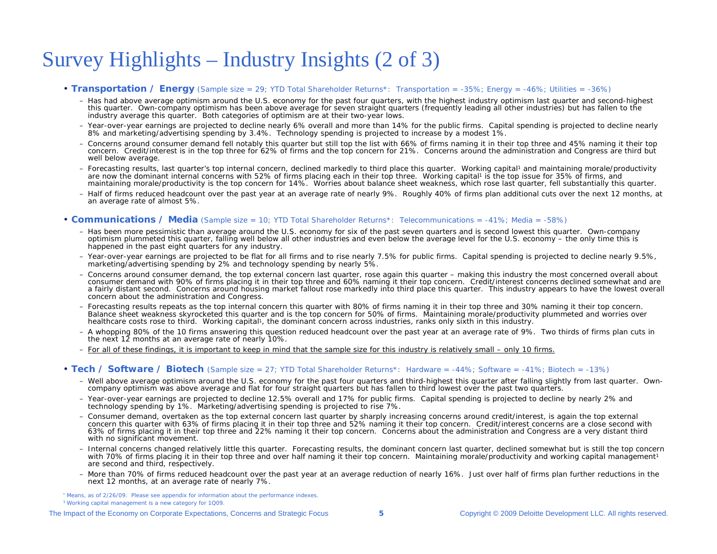### Survey Highlights – Industry Insights (2 of 3)

#### • Transportation / Energy (Sample size = 29; YTD Total Shareholder Returns\*: Transportation = -35%; Energy = -46%; Utilities = -36%)

- Has had above average optimism around the U.S. economy for the past four quarters, with the highest industry optimism last quarter and second-highest this quarter. Own-company optimism has been above average for seven straight quarters (frequently leading all other industries) but has fallen to the industry average this quarter. Both categories of optimism are at their two-year lows.
- Year-over-year earnings are projected to decline nearly 6% overall and more than 14% for the public firms. Capital spending is projected to decline nearly 8% and marketing/advertising spending by 3.4%. Technology spending is projected to increase by a modest 1%.
- Concerns around consumer demand fell notably this quarter but still top the list with 66% of firms naming it in their top three and 45% naming it their top concern. Credit/interest is in the top three for 62% of firms and the top concern for 21%. Concerns around the administration and Congress are third but well below average.
- Forecasting results, last quarter's top internal concern, declined markedly to third place this quarter. Working capital1 and maintaining morale/productivity are now the dominant internal concerns with 52% of firms placing each in their top three. Working capital1 is the top issue for 35% of firms, and maintaining morale/productivity is the top concern for 14%. Worries about balance sheet weakness, which rose last quarter, fell substantially this quarter.
- Half of firms reduced headcount over the past year at an average rate of nearly 9%. Roughly 40% of firms plan additional cuts over the next 12 months, at an average rate of almost 5%.

#### • **Communications / Media** (Sample size = 10; YTD Total Shareholder Returns\*: Telecommunications = -41%; Media = -58%)

- Has been more pessimistic than average around the U.S. economy for six of the past seven quarters and is second lowest this quarter. Own-company optimism plummeted this quarter, falling well below all other industries and even below the average level for the U.S. economy – the only time this is happened in the past eight quarters for any industry.
- Year-over-year earnings are projected to be flat for all firms and to rise nearly 7.5% for public firms. Capital spending is projected to decline nearly 9.5%, marketing/advertising spending by 2% and technology spending by nearly 5%.
- Concerns around consumer demand, the top external concern last quarter, rose again this quarter making this industry the most concerned overall about consumer demand with 90% of firms placing it in their top three and 60% naming it their top concern. Credit/interest concerns declined somewhat and are a fairly distant second. Concerns around housing market fallout rose markedly into third place this quarter. This industry appears to have the lowest overall concern about the administration and Congress.
- Forecasting results repeats as the top internal concern this quarter with 80% of firms naming it in their top three and 30% naming it their top concern. Balance sheet weakness skyrocketed this quarter and is the top concern for 50% of firms. Maintaining morale/productivity plummeted and worries over healthcare costs rose to third. Working capital<sup>1</sup>, the dominant concern across industries, ranks only sixth in this industry.
- A whopping 80% of the 10 firms answering this question reduced headcount over the past year at an average rate of 9%. Two thirds of firms plan cuts in the next 12 months at an average rate of nearly 10%.
- For all of these findings, it is important to keep in mind that the sample size for this industry is relatively small only 10 firms.

#### • Tech / Software / Biotech (Sample size = 27; YTD Total Shareholder Returns\*: Hardware = -44%; Software = -41%; Biotech = -13%)

- Well above average optimism around the U.S. economy for the past four quarters and third-highest this quarter after falling slightly from last quarter. Owncompany optimism was above average and flat for four straight quarters but has fallen to third lowest over the past two quarters.
- Year-over-year earnings are projected to decline 12.5% overall and 17% for public firms. Capital spending is projected to decline by nearly 2% and technology spending by 1%. Marketing/advertising spending is projected to rise 7%.
- Consumer demand, overtaken as the top external concern last quarter by sharply increasing concerns around credit/interest, is again the top external concern this quarter with 63% of firms placing it in their top three and 52% naming it their top concern. Credit/interest concerns are a close second with 63% of firms placing it in their top three and 22% naming it their top concern. Concerns about the administration and Congress are a very distant third with no significant movement.
- Internal concerns changed relatively little this quarter. Forecasting results, the dominant concern last quarter, declined somewhat but is still the top concern with 70% of firms placing it in their top three and over half naming it their top concern. Maintaining morale/productivity and working capital management<sup>1</sup> are second and third, respectively.
- More than 70% of firms reduced headcount over the past year at an average reduction of nearly 16%. Just over half of firms plan further reductions in the next 12 months, at an average rate of nearly 7%.

\* Means, as of 2/26/09. Please see appendix for information about the performance indexes. 1 Working capital management is a new category for 1Q09.

The Impact of the Economy on Corporate Expectations, Concerns and Strategic Focus **5** Copyright © 2009 Deloitte Development LLC. All rights reserved.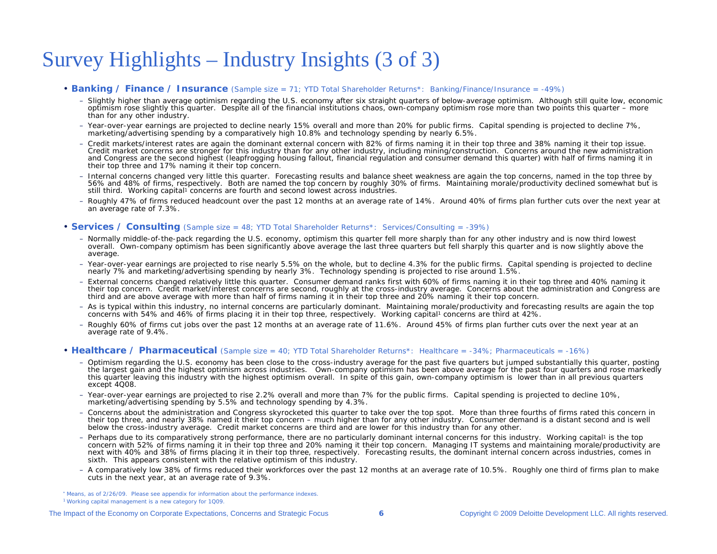### Survey Highlights – Industry Insights (3 of 3)

#### • **Banking / Finance / Insurance** (Sample size = 71; YTD Total Shareholder Returns\*: Banking/Finance/Insurance = -49%)

- Slightly higher than average optimism regarding the U.S. economy after six straight quarters of below-average optimism. Although still quite low, economic optimism rose slightly this quarter. Despite all of the financial institutions chaos, own-company optimism rose more than two points this quarter – more than for any other industry.
- Year-over-year earnings are projected to decline nearly 15% overall and more than 20% for public firms. Capital spending is projected to decline 7%, marketing/advertising spending by a comparatively high 10.8% and technology spending by nearly 6.5%.
- Credit markets/interest rates are again the dominant external concern with 82% of firms naming it in their top three and 38% naming it their top issue. Credit market concerns are stronger for this industry than for any other industry, including mining/construction. Concerns around the new administration and Congress are the second highest (leapfrogging housing fallout, financial regulation and consumer demand this quarter) with half of firms naming it in their top three and 17% naming it their top concern.
- Internal concerns changed very little this quarter. Forecasting results and balance sheet weakness are again the top concerns, named in the top three by 56% and 48% of firms, respectively. Both are named the top concern by roughly 30% of firms. Maintaining morale/productivity declined somewhat but is still third. Working capital<sup>1</sup> concerns are fourth and second lowest across industries.
- Roughly 47% of firms reduced headcount over the past 12 months at an average rate of 14%. Around 40% of firms plan further cuts over the next year at an average rate of 7.3%.

#### • **Services / Consulting** (Sample size = 48; YTD Total Shareholder Returns\*: Services/Consulting = -39%)

- Normally middle-of-the-pack regarding the U.S. economy, optimism this quarter fell more sharply than for any other industry and is now third lowest overall. Own-company optimism has been significantly above average the last three quarters but fell sharply this quarter and is now slightly above the average.
- Year-over-year earnings are projected to rise nearly 5.5% on the whole, but to decline 4.3% for the public firms. Capital spending is projected to decline nearly 7% and marketing/advertising spending by nearly 3%. Technology spending is projected to rise around 1.5%.
- External concerns changed relatively little this quarter. Consumer demand ranks first with 60% of firms naming it in their top three and 40% naming it their top concern. Credit market/interest concerns are second, roughly at the cross-industry average. Concerns about the administration and Congress are third and are above average with more than half of firms naming it in their top three and 20% naming it their top concern.
- As is typical within this industry, no internal concerns are particularly dominant. Maintaining morale/productivity and forecasting results are again the top concerns with 54% and 46% of firms placing it in their top three, respectively. Working capital<sup>1</sup> concerns are third at 42%.
- Roughly 60% of firms cut jobs over the past 12 months at an average rate of 11.6%. Around 45% of firms plan further cuts over the next year at an average rate of 9.4%.

#### • Healthcare / Pharmaceutical (Sample size = 40; YTD Total Shareholder Returns\*: Healthcare = -34%; Pharmaceuticals = -16%)

- Optimism regarding the U.S. economy has been close to the cross-industry average for the past five quarters but jumped substantially this quarter, posting the largest gain and the highest optimism across industries. Own-company optimism has been above average for the past four quarters and rose markedly this quarter leaving this industry with the highest optimism overall. In spite of this gain, own-company optimism is lower than in all previous quarters except 4Q08.
- Year-over-year earnings are projected to rise 2.2% overall and more than 7% for the public firms. Capital spending is projected to decline 10%, marketing/advertising spending by 5.5% and technology spending by 4.3%.
- Concerns about the administration and Congress skyrocketed this quarter to take over the top spot. More than three fourths of firms rated this concern in their top three, and nearly 38% named it their top concern – much higher than for any other industry. Consumer demand is a distant second and is well below the cross-industry average. Credit market concerns are third and are lower for this industry than for any other.
- Perhaps due to its comparatively strong performance, there are no particularly dominant internal concerns for this industry. Working capital<sup>1</sup> is the top concern with 52% of firms naming it in their top three and 20% naming it their top concern. Managing IT systems and maintaining morale/productivity are next with 40% and 38% of firms placing it in their top three, respectively. Forecasting results, the dominant internal concern across industries, comes in sixth. This appears consistent with the relative optimism of this industry.
- A comparatively low 38% of firms reduced their workforces over the past 12 months at an average rate of 10.5%. Roughly one third of firms plan to make cuts in the next year, at an average rate of 9.3%.

\* Means, as of 2/26/09. Please see appendix for information about the performance indexes. 1 Working capital management is a new category for 1Q09.

#### The Impact of the Economy on Corporate Expectations, Concerns and Strategic Focus **6** Copyright © 2009 Deloitte Development LLC. All rights reserved.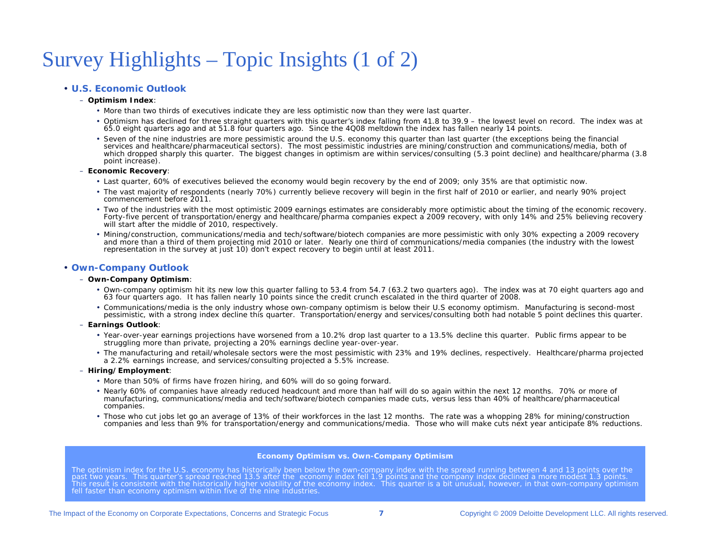### Survey Highlights – Topic Insights (1 of 2)

#### • **U.S. Economic Outlook**

#### – **Optimism Index**:

- More than two thirds of executives indicate they are less optimistic now than they were last quarter.
- Optimism has declined for three straight quarters with this quarter's index falling from 41.8 to 39.9 the lowest level on record. The index was at 65.0 eight quarters ago and at 51.8 four quarters ago. Since the 4Q08 meltdown the index has fallen nearly 14 points.
- Seven of the nine industries are more pessimistic around the U.S. economy this quarter than last quarter (the exceptions being the financial services and healthcare/pharmaceutical sectors). The most pessimistic industries are mining/construction and communications/media, both of which dropped sharply this quarter. The biggest changes in optimism are within services/consulting (5.3 point decline) and healthcare/pharma (3.8 point increase).

#### – **Economic Recovery**:

- Last quarter, 60% of executives believed the economy would begin recovery by the end of 2009; only 35% are that optimistic now.
- The vast majority of respondents (nearly 70%) currently believe recovery will begin in the first half of 2010 or earlier, and nearly 90% project commencement before 2011.
- Two of the industries with the most optimistic 2009 earnings estimates are considerably more optimistic about the timing of the economic recovery. Forty-five percent of transportation/energy and healthcare/pharma companies expect a 2009 recovery, with only 14% and 25% believing recovery will start after the middle of 2010, respectively.
- Mining/construction, communications/media and tech/software/biotech companies are more pessimistic with only 30% expecting a 2009 recovery and more than a third of them projecting mid 2010 or later. Nearly one third of communications/media companies (the industry with the lowest representation in the survey at just 10) don't expect recovery to begin until at least 2011.

#### • **Own-Company Outlook**

#### – **Own-Company Optimism**:

- Own-company optimism hit its new low this quarter falling to 53.4 from 54.7 (63.2 two quarters ago). The index was at 70 eight quarters ago and 63 four quarters ago. It has fallen nearly 10 points since the credit crunch escalated in the third quarter of 2008.
- Communications/media is the only industry whose own-company optimism is below their U.S economy optimism. Manufacturing is second-most pessimistic, with a strong index decline this quarter. Transportation/energy and services/consulting both had notable 5 point declines this quarter.
- **Earnings Outlook**:
	- Year-over-year earnings projections have worsened from a 10.2% drop last quarter to a 13.5% decline this quarter. Public firms appear to be struggling more than private, projecting a 20% earnings decline year-over-year.
	- The manufacturing and retail/wholesale sectors were the most pessimistic with 23% and 19% declines, respectively. Healthcare/pharma projected a 2.2% earnings increase, and services/consulting projected a 5.5% increase.
- **Hiring/Employment**:
	- More than 50% of firms have frozen hiring, and 60% will do so going forward.
	- Nearly 60% of companies have already reduced headcount and more than half will do so again within the next 12 months. 70% or more of manufacturing, communications/media and tech/software/biotech companies made cuts, versus less than 40% of healthcare/pharmaceutical companies.
	- Those who cut jobs let go an average of 13% of their workforces in the last 12 months. The rate was a whopping 28% for mining/construction companies and less than 9% for transportation/energy and communications/media. Those who will make cuts next year anticipate 8% reductions.

#### **Economy Optimism vs. Own-Company Optimism**

The optimism index for the U.S. economy has historically been below the own-company index with the spread running between 4 and 13 points over the past two years. This quarter's spread reached 13.5 after the economy index fell 1.9 points and the company index declined a more modest 1.3 points.<br>This result is consistent with the historically higher volatility of the e fell faster than economy optimism within five of the nine industries.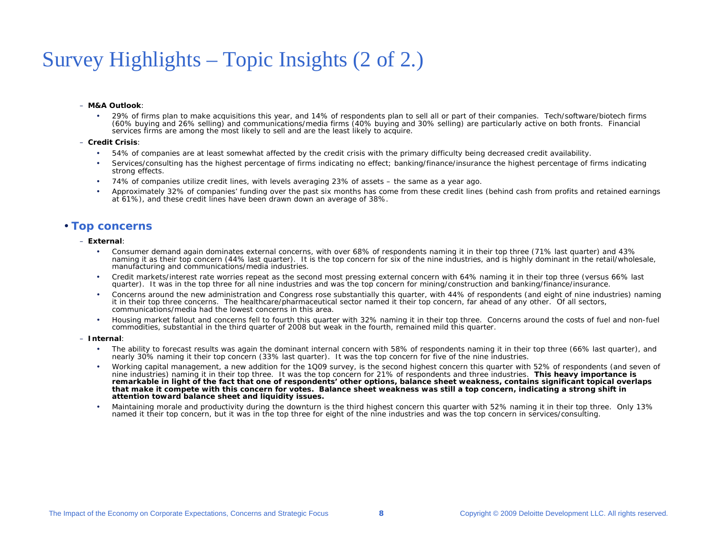### Survey Highlights – Topic Insights (2 of 2.)

#### – **M&A Outlook**:

 29% of firms plan to make acquisitions this year, and 14% of respondents plan to sell all or part of their companies. Tech/software/biotech firms (60% buying and 26% selling) and communications/media firms (40% buying and 30% selling) are particularly active on both fronts. Financial services firms are among the most likely to sell and are the least likely to acquire.

#### – **Credit Crisis**:

- •54% of companies are at least somewhat affected by the credit crisis with the primary difficulty being decreased credit availability.
- • Services/consulting has the highest percentage of firms indicating no effect; banking/finance/insurance the highest percentage of firms indicating strong effects.
- •74% of companies utilize credit lines, with levels averaging 23% of assets – the same as a year ago.
- Approximately 32% of companies' funding over the past six months has come from these credit lines (behind cash from profits and retained earnings at 61%), and these credit lines have been drawn down an average of 38%.

#### • **Top concerns**

#### – **External**:

- • Consumer demand again dominates external concerns, with over 68% of respondents naming it in their top three (71% last quarter) and 43% naming it as their top concern (44% last quarter). It is the top concern for six of the nine industries, and is highly dominant in the retail/wholesale, manufacturing and communications/media industries.
- • Credit markets/interest rate worries repeat as the second most pressing external concern with 64% naming it in their top three (versus 66% last quarter). It was in the top three for all nine industries and was the top concern for mining/construction and banking/finance/insurance.
- Concerns around the new administration and Congress rose substantially this quarter, with 44% of respondents (and eight of nine industries) naming it in their top three concerns. The healthcare/pharmaceutical sector named it their top concern, far ahead of any other. Of all sectors, communications/media had the lowest concerns in this area.
- • Housing market fallout and concerns fell to fourth this quarter with 32% naming it in their top three. Concerns around the costs of fuel and non-fuel commodities, substantial in the third quarter of 2008 but weak in the fourth, remained mild this quarter.

#### – **Internal**:

- • The ability to forecast results was again the dominant internal concern with 58% of respondents naming it in their top three (66% last quarter), and nearly 30% naming it their top concern (33% last quarter). It was the top concern for five of the nine industries.
- • Working capital management, a new addition for the 1Q09 survey, is the second highest concern this quarter with 52% of respondents (and seven of nine industries) naming it in their top three. It was the top concern for 21% of respondents and three industries. *This heavy importance is remarkable in light of the fact that one of respondents' other options, balance sheet weakness, contains significant topical overlaps that make it compete with this concern for votes. Balance sheet weakness was still a top concern, indicating a strong shift in attention toward balance sheet and liquidity issues.*
- Maintaining morale and productivity during the downturn is the third highest concern this quarter with 52% naming it in their top three. Only 13% named it their top concern, but it was in the top three for eight of the nine industries and was the top concern in services/consulting.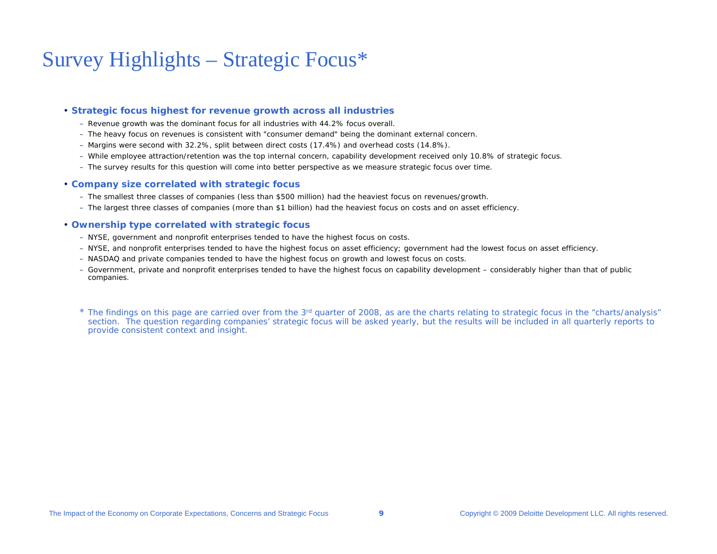### Survey Highlights – Strategic Focus\*

#### • **Strategic focus highest for revenue growth across all industries**

- Revenue growth was the dominant focus for all industries with 44.2% focus overall.
- The heavy focus on revenues is consistent with "consumer demand" being the dominant external concern.
- Margins were second with 32.2%, split between direct costs (17.4%) and overhead costs (14.8%).
- While employee attraction/retention was the top internal concern, capability development received only 10.8% of strategic focus.
- The survey results for this question will come into better perspective as we measure strategic focus over time.

#### • **Company size correlated with strategic focus**

- The smallest three classes of companies (less than \$500 million) had the heaviest focus on revenues/growth.
- The largest three classes of companies (more than \$1 billion) had the heaviest focus on costs and on asset efficiency.

#### • **Ownership type correlated with strategic focus**

- NYSE, government and nonprofit enterprises tended to have the highest focus on costs.
- NYSE, and nonprofit enterprises tended to have the highest focus on asset efficiency; government had the lowest focus on asset efficiency.
- NASDAQ and private companies tended to have the highest focus on growth and lowest focus on costs.
- Government, private and nonprofit enterprises tended to have the highest focus on capability development considerably higher than that of public companies.

\* The findings on this page are carried over from the 3<sup>rd</sup> quarter of 2008, as are the charts relating to strategic focus in the "charts/analysis" section. The question regarding companies' strategic focus will be asked yearly, but the results will be included in all quarterly reports to provide consistent context and insight.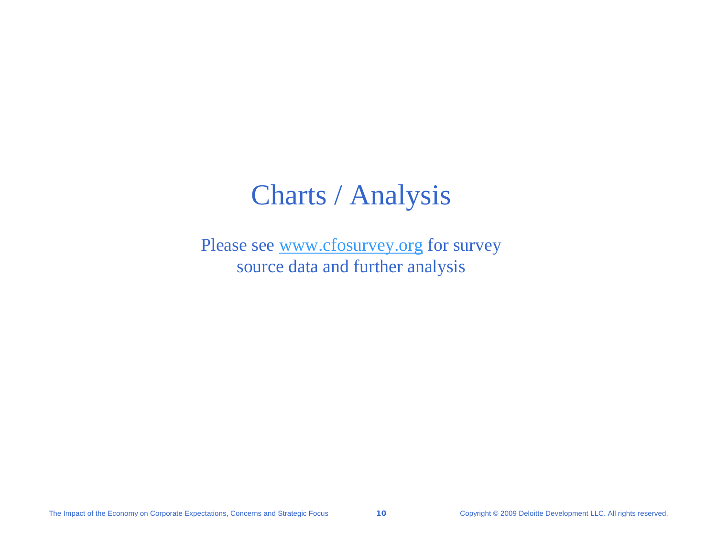### Charts / Analysis

Please see [www.cfosurvey.org](http://www.cfosurvey.org/) for survey source data and further analysis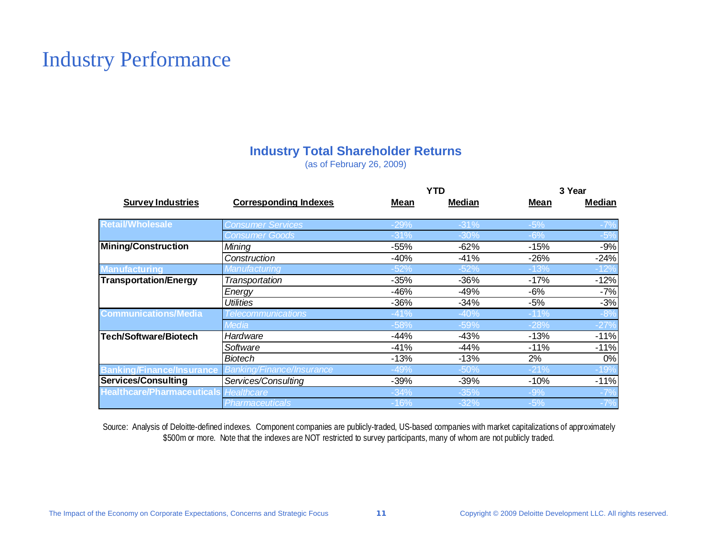### Industry Performance

#### **Industry Total Shareholder Returns**

(as of February 26, 2009)

|                                              |                                  | <b>YTD</b> |        | 3 Year |        |
|----------------------------------------------|----------------------------------|------------|--------|--------|--------|
| <b>Survey Industries</b>                     | <b>Corresponding Indexes</b>     | Mean       | Median | Mean   | Median |
| <b>Retail/Wholesale</b>                      | <b>Consumer Services</b>         | $-29%$     | $-31%$ | $-5%$  |        |
|                                              | <b>Consumer Goods</b>            | $-31%$     | $-30%$ | $-6%$  | $-5%$  |
| <b>Mining/Construction</b>                   | Mining                           | $-55%$     | $-62%$ | $-15%$ | $-9%$  |
|                                              | Construction                     | $-40%$     | $-41%$ | $-26%$ | $-24%$ |
| <b>Manufacturing</b>                         | Manufacturing                    | $-52%$     | $-52%$ | $-13%$ | -12%   |
| <b>Transportation/Energy</b>                 | Transportation                   | $-35%$     | $-36%$ | $-17%$ | $-12%$ |
|                                              | Energy                           | -46%       | $-49%$ | $-6%$  | $-7%$  |
|                                              | <b>Utilities</b>                 | $-36%$     | $-34%$ | $-5%$  | $-3%$  |
| <b>Communications/Media</b>                  | <b>Telecommunications</b>        | $-41%$     | $-40%$ | $-11%$ | $-8%$  |
|                                              | <b>Media</b>                     | $-58%$     | $-59%$ | -28%   | $-27%$ |
| Tech/Software/Biotech                        | Hardware                         | $-44%$     | $-43%$ | $-13%$ | $-11%$ |
|                                              | Software                         | $-41%$     | $-44%$ | $-11%$ | $-11%$ |
|                                              | <b>Biotech</b>                   | $-13%$     | $-13%$ | 2%     | 0%     |
| <b>Banking/Finance/Insurance</b>             | <b>Banking/Finance/Insurance</b> | $-49%$     | $-50%$ | $-21%$ | $-19%$ |
| Services/Consulting                          | Services/Consulting              | -39%       | $-39%$ | $-10%$ | $-11%$ |
| <b>Healthcare/Pharmaceuticals</b> Healthcare |                                  | $-34%$     | $-35%$ | $-9%$  |        |
|                                              | <b>Pharmaceuticals</b>           | -16%       | $-32%$ | $-5%$  | $-7%$  |

Source: Analysis of Deloitte-defined indexes. Component companies are publicly-traded, US-based companies with market capitalizations of approximately \$500m or more. Note that the indexes are NOT restricted to survey participants, many of whom are not publicly traded.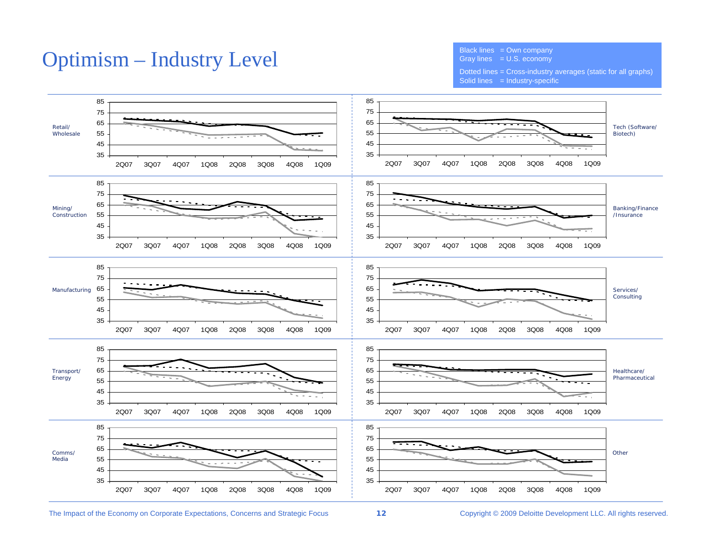### Optimism – Industry Level

Black lines  $=$  Own company Gray lines  $=$  U.S. economy

Dotted lines = Cross-industry averages (static for all graphs) Solid lines = Industry-specific

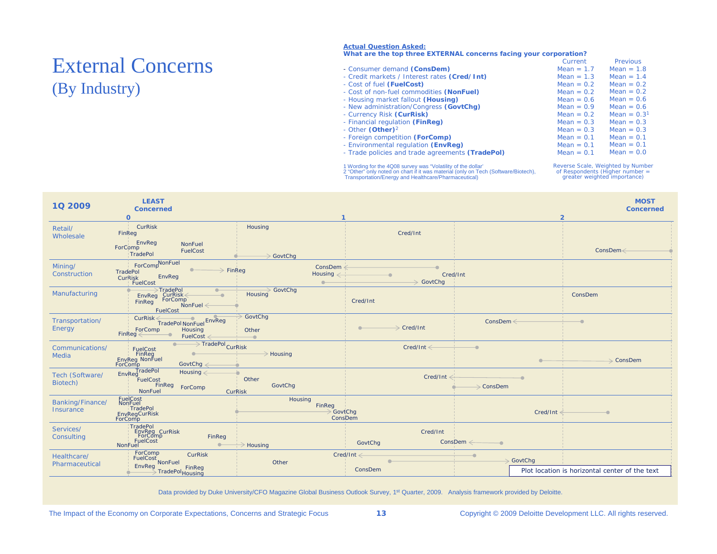## (By Industry)

#### **Actual Question Asked:**

#### **What are the top three EXTERNAL concerns facing your corporation?**

|                          |                                                  | Current      | Previous     |
|--------------------------|--------------------------------------------------|--------------|--------------|
| <b>External Concerns</b> | - Consumer demand (ConsDem)                      | Mean = $1.7$ | $Mean = 1.8$ |
|                          | - Credit markets / Interest rates (Cred/Int)     | Mean $= 1.3$ | Mean $= 1.4$ |
|                          | - Cost of fuel (FuelCost)                        | Mean $= 0.2$ | Mean $= 0.2$ |
| (By Industry)            | - Cost of non-fuel commodities (NonFuel)         | Mean $= 0.2$ | $Mean = 0.2$ |
|                          | - Housing market fallout (Housing)               | $Mean = 0.6$ | Mean $= 0.6$ |
|                          | - New administration/Congress (GovtChg)          | Mean $= 0.9$ | Mean $= 0.6$ |
|                          | - Currency Risk (CurRisk)                        | Mean $= 0.2$ | $Mean = 0.3$ |
|                          | - Financial regulation (FinReg)                  | Mean $= 0.3$ | $Mean = 0.3$ |
|                          | - Other $(Other)^2$                              | Mean $= 0.3$ | $Mean = 0.3$ |
|                          | - Foreign competition (ForComp)                  | Mean $= 0.1$ | Mean $= 0.1$ |
|                          | - Environmental regulation (EnvReg)              | $Mean = 0.1$ | Mean $= 0.1$ |
|                          | - Trade policies and trade agreements (TradePol) | $Mean = 0.1$ | $Mean = 0.0$ |
|                          |                                                  |              |              |

1 Wording for the 4Q08 survey was "Volatility of the dollar'<br>2 "Other" only noted on chart if it was material (only on Tech (Software/Biotech),<br>Transportation/Energy and Healthcare/Pharmaceutical)

Reverse Scale, Weighted by Number of Respondents (Higher number = greater weighted importance)

| 10 2009                       | <b>LEAST</b><br><b>Concerned</b><br>$\mathbf{o}$                                                                                 | -1                                                             |                                     |                                            | <b>MOST</b><br><b>Concerned</b><br>$\overline{2}$ |
|-------------------------------|----------------------------------------------------------------------------------------------------------------------------------|----------------------------------------------------------------|-------------------------------------|--------------------------------------------|---------------------------------------------------|
| Retail/<br>Wholesale          | CurRisk<br>FinReg<br>NonFuel                                                                                                     | Housing                                                        | Cred/Int                            |                                            |                                                   |
|                               | EnvReg<br>ForComp<br>FuelCost<br>TradePol                                                                                        | GovtChg                                                        |                                     |                                            | $ConsDem \leq$                                    |
| Mining/<br>Construction       | ForCompNonFuel<br>TradePol<br>EnvReg<br>CurRisk<br>FuelCost                                                                      | ConsDem $\leq$<br>$\Rightarrow$ FinReg<br>Housing $\leftarrow$ | Cred/Int<br>$\Rightarrow$ GovtChq   |                                            |                                                   |
| Manufacturing                 | Findepol<br>EnvReg Currisk<br>EinReg ForComp<br>$\overline{\phantom{a}}$<br>FinReg<br>$NonFuel \leftarrow$<br>FuelCost           | GovtChg<br>Housing                                             | Cred/Int                            |                                            | ConsDem                                           |
| Transportation/<br>Energy     | CurRisk <tradepol nonfuel<br="">Housing<br/>ForComp<br/><math>FinReg \leftarrow</math><br/>FuelCost <math>\leq</math></tradepol> | GovtChg<br>Other<br>$\overline{\phantom{0}}$                   | $\Rightarrow$ Cred/Int<br>$\bullet$ | $ConsDem \leftarrow$                       |                                                   |
| Communications/<br>Media      | TradePol <sub>CurRisk</sub><br>FuelCost<br>FinReg<br>EnvReg NonFuel<br>$\bullet$<br>ForComp<br>GovtChg $\leftarrow$              | $\rightarrow$ Housing                                          | $Cred/Int \leftarrow$               | $\overline{\phantom{0}}$                   | $\rightarrow$ ConsDem                             |
| Tech (Software/<br>Biotech)   | <b>TradePol</b><br>EnvReg<br>Housing $\leftarrow$<br>FuelCost<br>FinReg<br>ForComp<br>NonFuel                                    | Other<br>GovtChg<br><b>CurRisk</b>                             | Cred/Int                            | $\rightarrow$ ConsDem                      |                                                   |
| Banking/Finance/<br>Insurance | FuelCost<br>NonFuel<br>TradePol<br><b>EnvRegCurRisk</b><br>ForComp                                                               | Housing<br>FinReg<br>GovtChg<br>ConsDem                        |                                     | Cred/Int                                   |                                                   |
| Services/<br>Consulting       | TradePol<br>EnvReg CurRisk<br>ForComp<br>FuelCost<br>FinReg<br>NonFuel                                                           | $\geq$ Housing                                                 | Cred/Int<br>GovtChg                 | $ConsDem \longleftarrow$                   |                                                   |
| Healthcare/<br>Pharmaceutical | ForComp<br><b>CurRisk</b>                                                                                                        | Other                                                          | $Cred/Int \leftarrow$               | $\overline{\phantom{a}}$<br>$\geq$ GovtChg |                                                   |
|                               | FinReg<br>FradePol <sub>Housing</sub>                                                                                            |                                                                | ConsDem                             |                                            | Plot location is horizontal center of the text    |

Data provided by Duke University/CFO Magazine Global Business Outlook Survey, 1<sup>st</sup> Quarter, 2009. Analysis framework provided by Deloitte.

The Impact of the Economy on Corporate Expectations, Concerns and Strategic Focus **13** Copyright © 2009 Deloitte Development LLC. All rights reserved.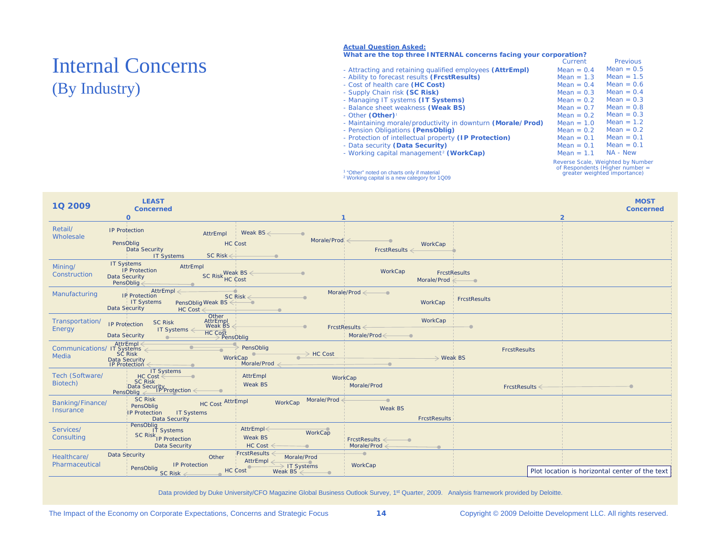### Internal Concerns (By Industry)

#### **Actual Question Asked:**

#### **What are the top three INTERNAL concerns facing your corporation?**

|                                                             | Current      | <b>Previous</b> |
|-------------------------------------------------------------|--------------|-----------------|
| - Attracting and retaining qualified employees (AttrEmpl)   | $Mean = 0.4$ | $Mean = 0.5$    |
| - Ability to forecast results (FrcstResults)                | Mean $= 1.3$ | Mean = $1.5$    |
| - Cost of health care (HC Cost)                             | $Mean = 0.4$ | Mean $= 0.6$    |
| - Supply Chain risk (SC Risk)                               | Mean $= 0.3$ | Mean $= 0.4$    |
| - Managing IT systems (IT Systems)                          | Mean = $0.2$ | Mean = $0.3$    |
| - Balance sheet weakness (Weak BS)                          | Mean = $0.7$ | $Mean = 0.8$    |
| - Other (Other) <sup>1</sup>                                | $Mean = 0.2$ | Mean $= 0.3$    |
| - Maintaining morale/productivity in downturn (Morale/Prod) | Mean = $1.0$ | Mean $= 1.2$    |
| - Pension Obligations (PensOblig)                           | Mean = $0.2$ | Mean $= 0.2$    |
| - Protection of intellectual property (IP Protection)       | $Mean = 0.1$ | $Mean = 0.1$    |
| - Data security (Data Security)                             | $Mean = 0.1$ | $Mean = 0.1$    |
| - Working capital management <sup>2</sup> (WorkCap)         | $Mean = 1.1$ | NA - New        |
|                                                             |              |                 |

1 "Other" noted on charts only if material 2 Working capital is a new category for 1Q09

Reverse Scale, Weighted by Number of Respondents (Higher number = greater weighted importance)

| 1Q 2009                                                            | <b>LEAST</b><br><b>Concerned</b><br>$\mathbf 0$                                                                                                                                                                                                                           |                                                                                         |                                               |                                                                  |                     | <b>MOST</b><br><b>Concerned</b><br>$\overline{2}$ |
|--------------------------------------------------------------------|---------------------------------------------------------------------------------------------------------------------------------------------------------------------------------------------------------------------------------------------------------------------------|-----------------------------------------------------------------------------------------|-----------------------------------------------|------------------------------------------------------------------|---------------------|---------------------------------------------------|
| Retail/<br>Wholesale                                               | <b>IP Protection</b><br>PensOblig<br>Data Security<br><b>IT Systems</b>                                                                                                                                                                                                   | Weak BS $\leftarrow$<br>AttrEmpl<br>HC Cost<br>$SC$ Risk $\leftarrow$                   | Morale/Prod                                   | WorkCap<br>$FrestResults \leftarrow$                             |                     |                                                   |
| Mining/<br>Construction                                            | <b>IT Systems</b><br>AttrEmpl<br><b>IP Protection</b><br>Data Security<br>PensObliq $\leq$                                                                                                                                                                                | $SC$ Risk HC $Cost$                                                                     |                                               | WorkCap<br>Morale/Prod $\swarrow$                                | FrcstResults        |                                                   |
| Manufacturing                                                      | AttrEmpl $\leftarrow$<br><b>IP Protection</b><br>IT Systems<br>Data Security                                                                                                                                                                                              | $\overline{\phantom{a}}$<br>SC Risk $\leq$<br>PensOblig Weak BS<br>$HC Cost \leftarrow$ |                                               | Morale/Prod $\leq$<br>WorkCap                                    | <b>FrcstResults</b> |                                                   |
| Transportation/<br>Energy                                          | <b>SC Risk</b><br><b>IP Protection</b><br>IT Systems $\leftarrow$<br>Data Security                                                                                                                                                                                        | Other<br>AttrEmpl<br>Weak BS<br>Wear<br>HC Cost<br>PensOblig                            |                                               | WorkCap<br>$FrestResults \leftarrow$<br>$Morale/Prod \leftarrow$ |                     |                                                   |
| AttrEmpl<br>← Communications/ IT Systems<br>Media SC Risk<br>Media | Data Security<br>IP Protection                                                                                                                                                                                                                                            | PensOblig<br>WorkCap<br>Morale/Prod $\leq$                                              | $\rightarrow$ HC Cost                         | $\rightarrow$ Weak BS                                            | <b>FrcstResults</b> |                                                   |
| Tech (Software/<br>Biotech)                                        | IT Systems<br>SC Risk<br>Data Security<br>PensOblig<br><u>PensOblig</u><br>PensOblig<br>Call PensOblig<br>PensOblig<br>PensOblig<br>PensOblig<br>PensOblig<br>PensOblig<br>PensOblig<br>PensOblig<br>PensOblig<br>PensOblig<br>PensOblig<br>PensOblig<br>PensOblig<br>Pen | AttrEmpl<br>Weak BS                                                                     | WorkCap                                       | Morale/Prod                                                      | $FrestResults \leq$ |                                                   |
| Banking/Finance/<br>Insurance                                      | <b>SC Risk</b><br>PensOblig<br>IP Protection IT Systems<br>Data Security                                                                                                                                                                                                  | HC Cost AttrEmpl                                                                        | Morale/Prod<br>WorkCap                        | $\overline{\phantom{0}}$<br>Weak BS<br><b>FrcstResults</b>       |                     |                                                   |
| Services/<br>Consulting                                            | PensOblig<br>IT Systems<br>SC Risk <sub>IP</sub> Protection<br><b>Data Security</b>                                                                                                                                                                                       | AttrEmpl $\leq$<br>Weak BS<br>HC Cost $\leq$                                            | WorkCap                                       | $FrestResults \leftarrow \bullet$<br>Morale/Prod $\leftarrow$    |                     |                                                   |
| Healthcare/<br>Pharmaceutical                                      | Data Security<br><b>IP Protection</b><br>PensOblig<br>$SC$ Risk $\leftarrow$                                                                                                                                                                                              | FrestResults <<br>Other<br>AttrEmpl $\leq$<br>HC Cost                                   | Morale/Prod<br>→ IT Systems<br>Weak $BS \leq$ | $\overline{\phantom{a}}$<br>WorkCap                              |                     | Plot location is horizontal center of the text    |

Data provided by Duke University/CFO Magazine Global Business Outlook Survey, 1<sup>st</sup> Quarter, 2009. Analysis framework provided by Deloitte.

The Impact of the Economy on Corporate Expectations, Concerns and Strategic Focus **14** Copyright © 2009 Deloitte Development LLC. All rights reserved.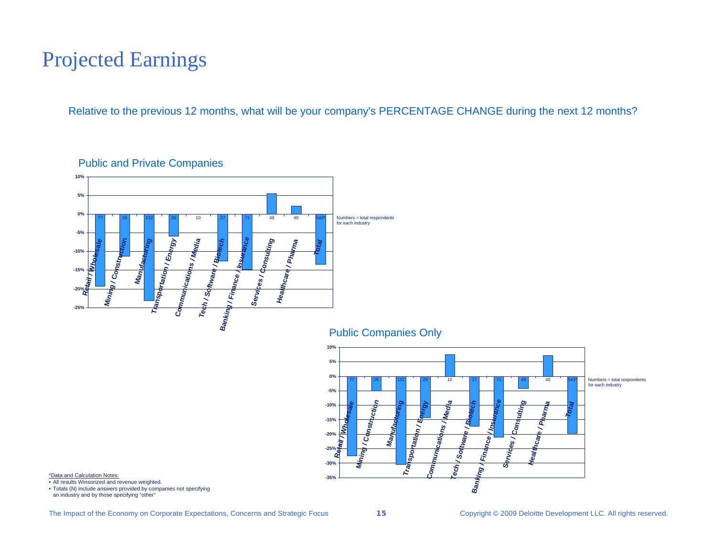### Projected Earnings

Relative to the previous 12 months, what will be your company's PERCENTAGE CHANGE during the next 12 months?



#### Public and Private Companies

Public Companies Only



\*Data and Calculation Notes:

• All results Winsorized and revenue weighted.

• Totals (N) include answers provided by companies not specifying an industry and by those specifying "other"

The Impact of the Economy on Corporate Expectations, Concerns and Strategic Focus **15** Copyright © 2009 Deloitte Development LLC. All rights reserved.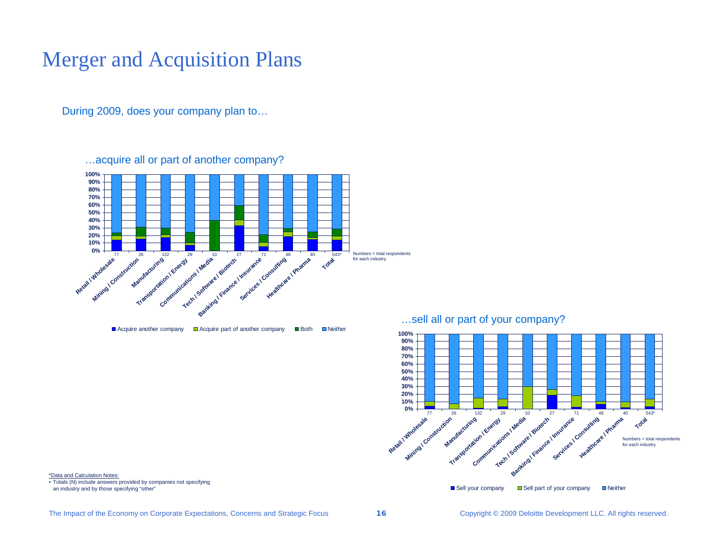### Merger and Acquisition Plans

During 2009, does your company plan to…

…acquire all or part of another company?



Acquire another company  $\Box$  Acquire part of another company  $\Box$  Both  $\Box$  Neither

…sell all or part of your company?



\*Data and Calculation Notes:

• Totals (N) include answers provided by companies not specifying an industry and by those specifying "other"

The Impact of the Economy on Corporate Expectations, Concerns and Strategic Focus **16** Copyright © 2009 Deloitte Development LLC. All rights reserved.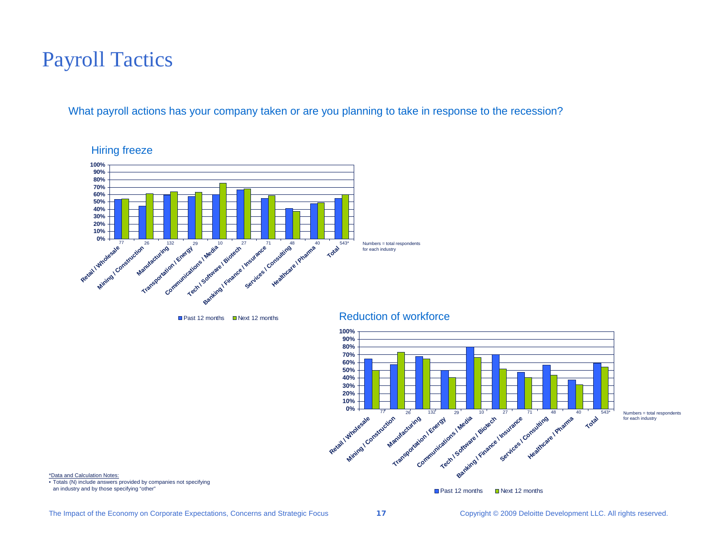### Payroll Tactics

What payroll actions has your company taken or are you planning to take in response to the recession?



Hiring freeze



\*Data and Calculation Notes:

• Totals (N) include answers provided by companies not specifying an industry and by those specifying "other"

■ Past 12 months ■ Next 12 months

The Impact of the Economy on Corporate Expectations, Concerns and Strategic Focus **17** Copyright © 2009 Deloitte Development LLC. All rights reserved.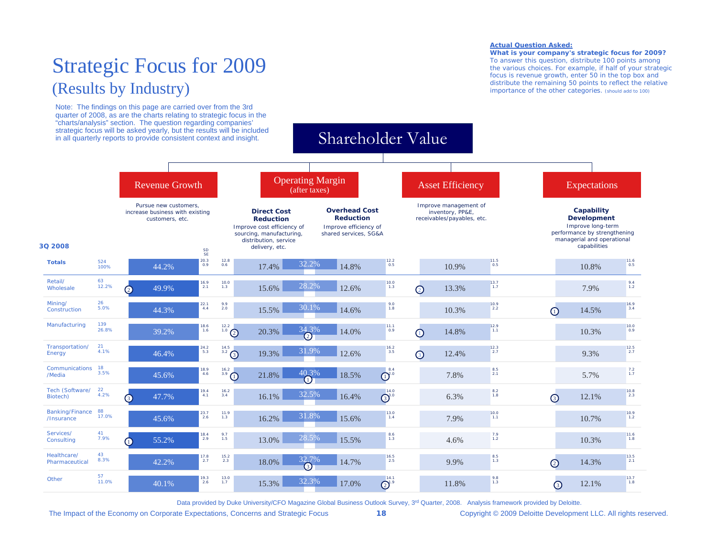### Strategic Focus for 2009 (Results by Industry)

Note: The findings on this page are carried over from the 3rd quarter of 2008, as are the charts relating to strategic focus in the

#### **Actual Question Asked:**

**What is your company's strategic focus for 2009?** To answer this question, distribute 100 points among the various choices. For example, if half of your strategic focus is revenue growth, enter 50 in the top box and distribute the remaining 50 points to reflect the relative importance of the other categories. (should add to 100)



Data provided by Duke University/CFO Magazine Global Business Outlook Survey, 3<sup>rd</sup> Quarter, 2008. Analysis framework provided by Deloitte.

The Impact of the Economy on Corporate Expectations, Concerns and Strategic Focus **18** Copyright © 2009 Deloitte Development LLC. All rights reserved.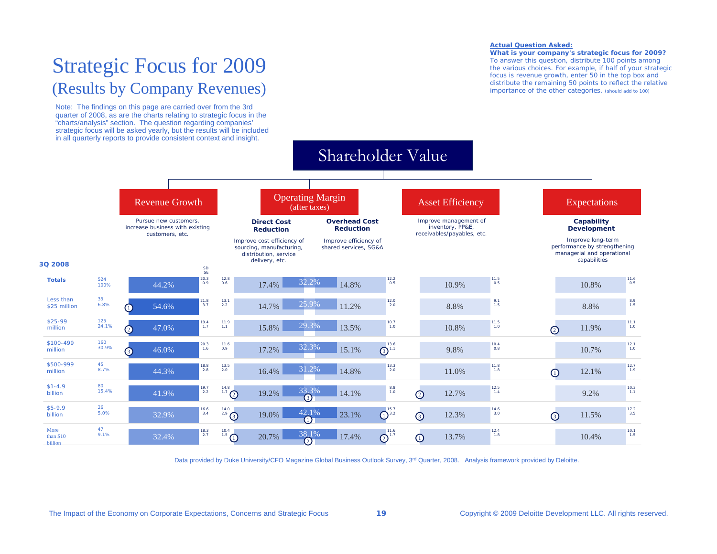### Strategic Focus for 2009 (Results by Company Revenues)

Note: The findings on this page are carried over from the 3rd quarter of 2008, as are the charts relating to strategic focus in the "charts/analysis" section. The question regarding companies' strategic focus will be asked yearly, but the results will be included in all quarterly reports to provide consistent context and insight.

#### **Actual Question Asked:**

**What is your company's strategic focus for 2009?** To answer this question, distribute 100 points among the various choices. For example, if half of your strategic focus is revenue growth, enter 50 in the top box and distribute the remaining 50 points to reflect the relative importance of the other categories. (should add to 100)



Data provided by Duke University/CFO Magazine Global Business Outlook Survey, 3<sup>rd</sup> Quarter, 2008. Analysis framework provided by Deloitte.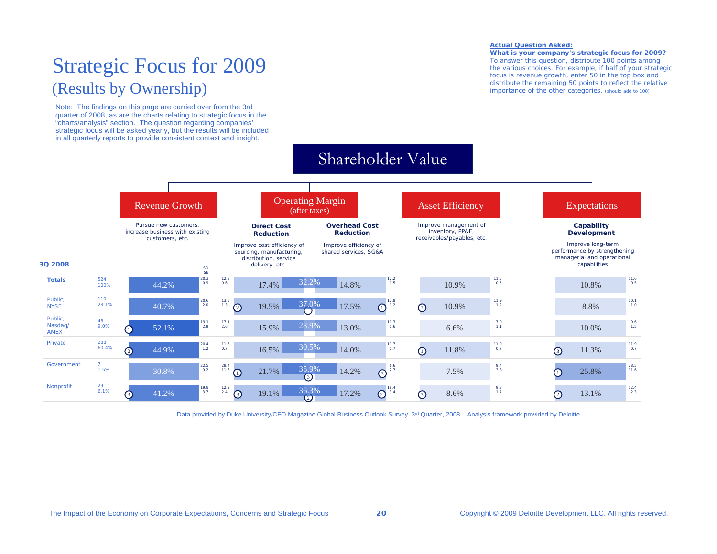### Strategic Focus for 2009 (Results by Ownership)

Note: The findings on this page are carried over from the 3rd quarter of 2008, as are the charts relating to strategic focus in the "charts/analysis" section. The question regarding companies' strategic focus will be asked yearly, but the results will be included in all quarterly reports to provide consistent context and insight.

#### **Actual Question Asked:**

**What is your company's strategic focus for 2009?** To answer this question, distribute 100 points among the various choices. For example, if half of your strategic focus is revenue growth, enter 50 in the top box and distribute the remaining 50 points to reflect the relative importance of the other categories. (should add to 100)



Data provided by Duke University/CFO Magazine Global Business Outlook Survey, 3<sup>rd</sup> Quarter, 2008. Analysis framework provided by Deloitte.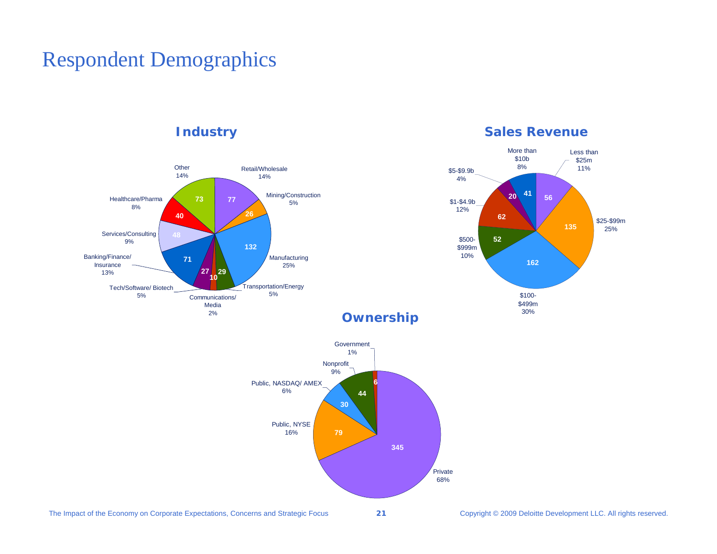### Respondent Demographics

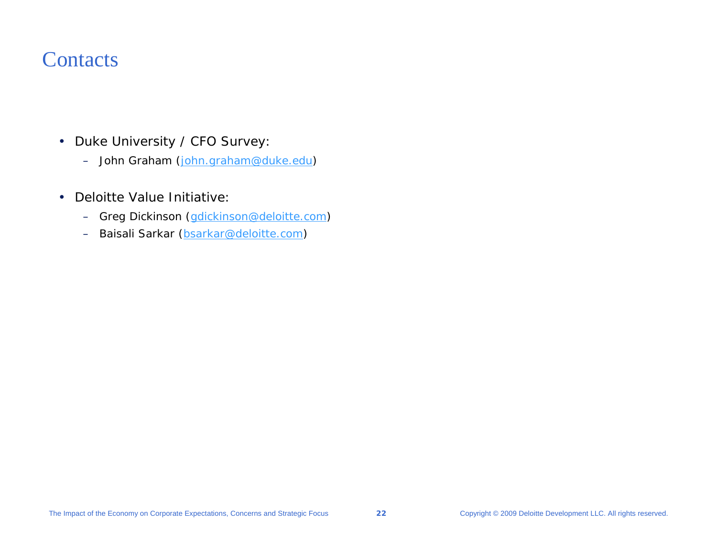### **Contacts**

- Duke University / CFO Survey:
	- John Graham ([john.graham@duke.edu](mailto:john.graham@duke.edu))
- • Deloitte Value Initiative:
	- $\rightarrow$ Greg Dickinson ([gdickinson@deloitte.com\)](mailto:gdickinson@deloitte.com)
	- –Baisali Sarkar ([bsarkar@deloitte.com\)](mailto:bsarkar@deloitte.com)